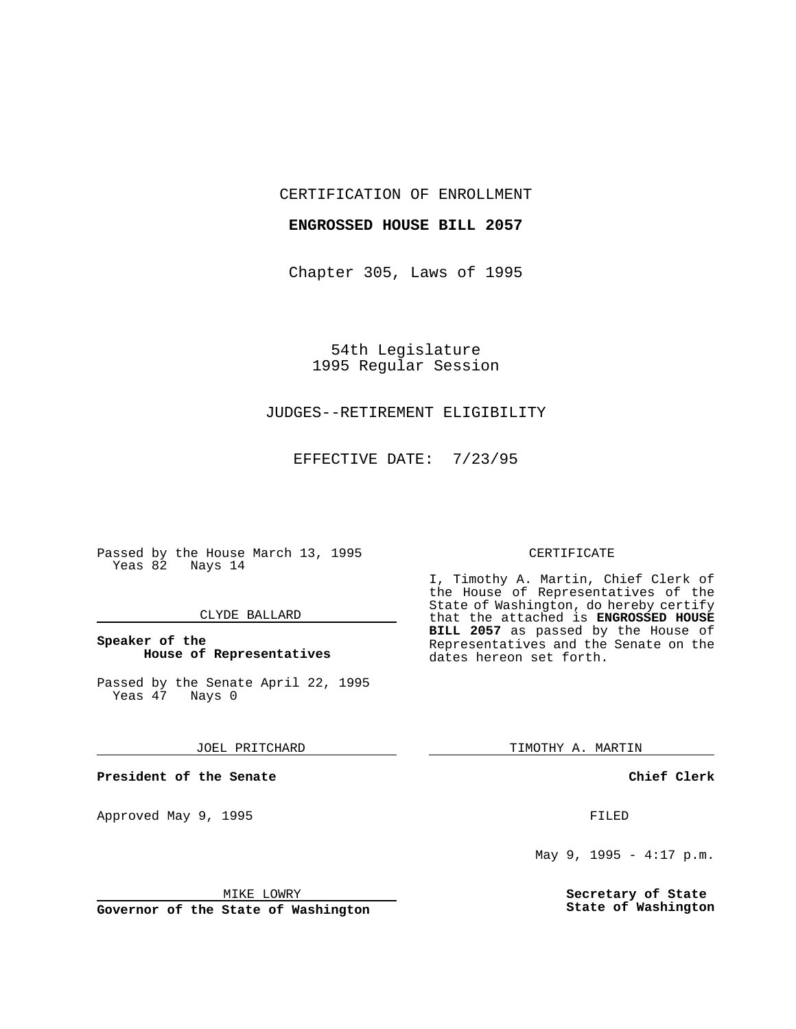CERTIFICATION OF ENROLLMENT

## **ENGROSSED HOUSE BILL 2057**

Chapter 305, Laws of 1995

54th Legislature 1995 Regular Session

# JUDGES--RETIREMENT ELIGIBILITY

EFFECTIVE DATE: 7/23/95

Passed by the House March 13, 1995 Yeas 82 Nays 14

### CLYDE BALLARD

## **Speaker of the House of Representatives**

Passed by the Senate April 22, 1995<br>Yeas 47 Nays 0 Yeas 47

#### JOEL PRITCHARD

**President of the Senate**

Approved May 9, 1995 **FILED** 

#### MIKE LOWRY

**Governor of the State of Washington**

#### CERTIFICATE

I, Timothy A. Martin, Chief Clerk of the House of Representatives of the State of Washington, do hereby certify that the attached is **ENGROSSED HOUSE BILL 2057** as passed by the House of Representatives and the Senate on the dates hereon set forth.

TIMOTHY A. MARTIN

### **Chief Clerk**

May 9, 1995 - 4:17 p.m.

**Secretary of State State of Washington**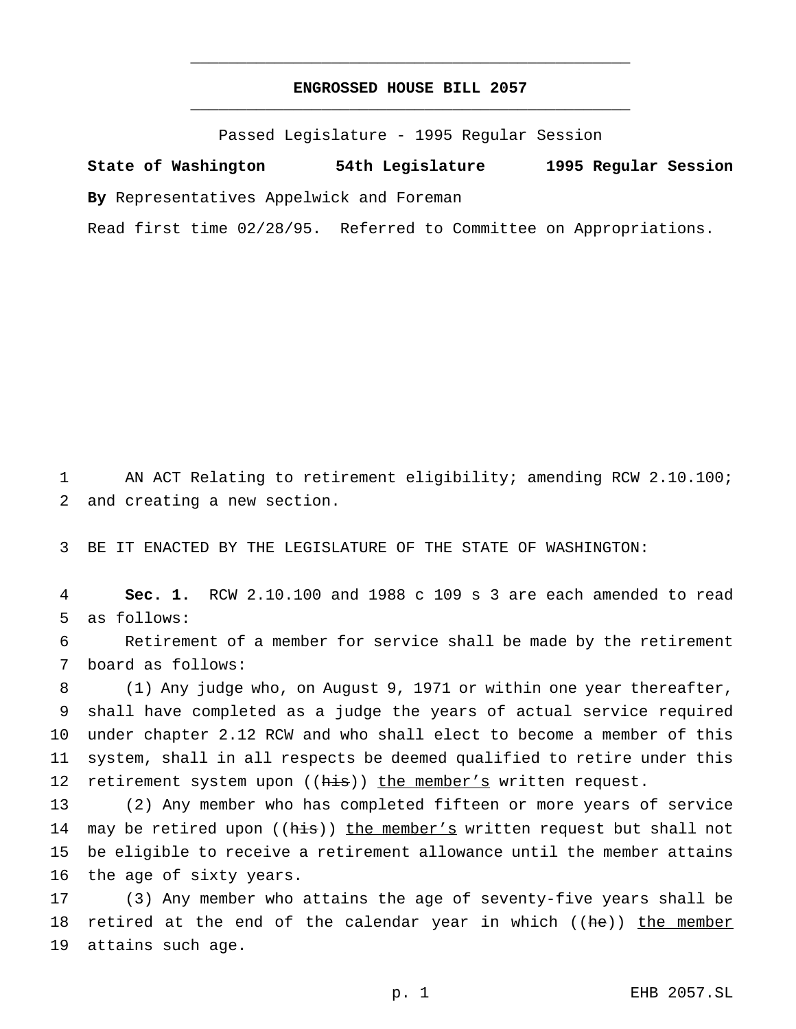# **ENGROSSED HOUSE BILL 2057** \_\_\_\_\_\_\_\_\_\_\_\_\_\_\_\_\_\_\_\_\_\_\_\_\_\_\_\_\_\_\_\_\_\_\_\_\_\_\_\_\_\_\_\_\_\_\_

\_\_\_\_\_\_\_\_\_\_\_\_\_\_\_\_\_\_\_\_\_\_\_\_\_\_\_\_\_\_\_\_\_\_\_\_\_\_\_\_\_\_\_\_\_\_\_

Passed Legislature - 1995 Regular Session

**State of Washington 54th Legislature 1995 Regular Session By** Representatives Appelwick and Foreman

Read first time 02/28/95. Referred to Committee on Appropriations.

1 AN ACT Relating to retirement eligibility; amending RCW 2.10.100; 2 and creating a new section.

3 BE IT ENACTED BY THE LEGISLATURE OF THE STATE OF WASHINGTON:

4 **Sec. 1.** RCW 2.10.100 and 1988 c 109 s 3 are each amended to read 5 as follows:

6 Retirement of a member for service shall be made by the retirement 7 board as follows:

 (1) Any judge who, on August 9, 1971 or within one year thereafter, shall have completed as a judge the years of actual service required under chapter 2.12 RCW and who shall elect to become a member of this system, shall in all respects be deemed qualified to retire under this 12 retirement system upon ((his)) the member's written request.

 (2) Any member who has completed fifteen or more years of service 14 may be retired upon ((his)) the member's written request but shall not be eligible to receive a retirement allowance until the member attains the age of sixty years.

17 (3) Any member who attains the age of seventy-five years shall be 18 retired at the end of the calendar year in which ((he)) the member 19 attains such age.